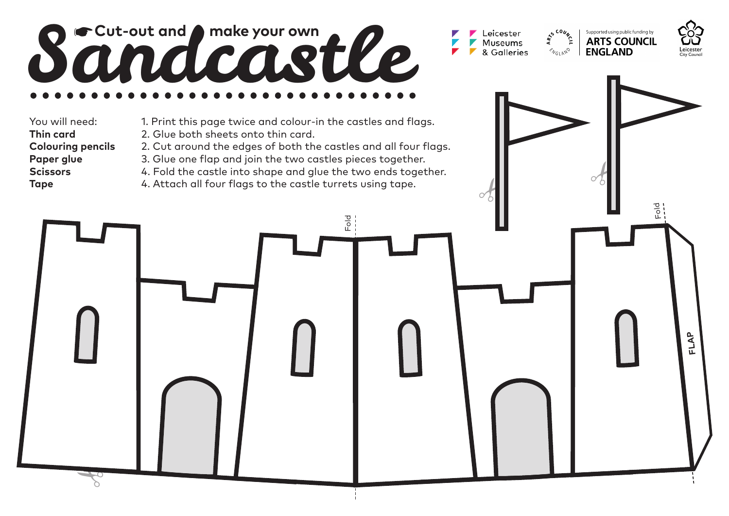